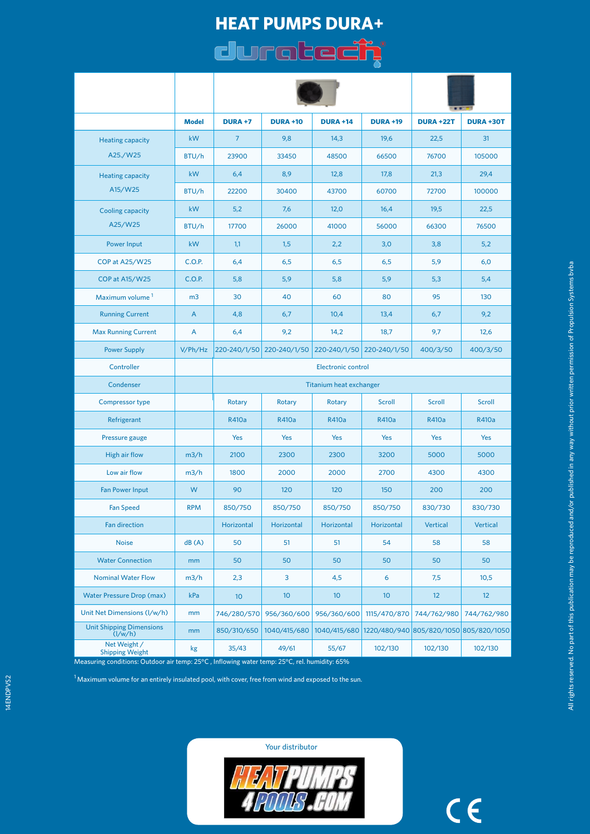# **HEAT PUMPS DURA+**  duratech<sup>\*</sup>

|                                                                 | <b>Model</b>   | <b>DURA +7</b>                 | <b>DURA +10</b>           | <b>DURA +14</b>           | <b>DURA +19</b> | <b>DURA +22T</b>                                    | <b>DURA +30T</b> |
|-----------------------------------------------------------------|----------------|--------------------------------|---------------------------|---------------------------|-----------------|-----------------------------------------------------|------------------|
| <b>Heating capacity</b>                                         | kW             | $\overline{7}$                 | 9,8                       | 14,3                      | 19,6            | 22,5                                                | 31               |
| A25./W25                                                        | BTU/h          | 23900                          | 33450                     | 48500                     | 66500           | 76700                                               | 105000           |
| <b>Heating capacity</b><br>A15/W25                              | kW             | 6,4                            | 8,9                       | 12,8                      | 17,8            | 21,3                                                | 29,4             |
|                                                                 | BTU/h          | 22200                          | 30400                     | 43700                     | 60700           | 72700                                               | 100000           |
| Cooling capacity<br>A25/W25                                     | kW             | 5,2                            | 7,6                       | 12,0                      | 16,4            | 19,5                                                | 22,5             |
|                                                                 | BTU/h          | 17700                          | 26000                     | 41000                     | 56000           | 66300                                               | 76500            |
| <b>Power Input</b>                                              | kW             | 1,1                            | 1,5                       | 2,2                       | 3,0             | 3,8                                                 | 5,2              |
| COP at A25/W25                                                  | C.O.P.         | 6,4                            | 6,5                       | 6,5                       | 6,5             | 5,9                                                 | 6,0              |
| COP at A15/W25                                                  | C.O.P.         | 5,8                            | 5,9                       | 5,8                       | 5,9             | 5,3                                                 | 5,4              |
| Maximum volume <sup>1</sup>                                     | m <sub>3</sub> | 30                             | 40                        | 60                        | 80              | 95                                                  | 130              |
| <b>Running Current</b>                                          | A              | 4,8                            | 6,7                       | 10,4                      | 13,4            | 6,7                                                 | 9,2              |
| <b>Max Running Current</b>                                      | A              | 6,4                            | 9,2                       | 14,2                      | 18,7            | 9,7                                                 | 12,6             |
| <b>Power Supply</b>                                             | V/Ph/Hz        |                                | 220-240/1/50 220-240/1/50 | 220-240/1/50 220-240/1/50 |                 | 400/3/50                                            | 400/3/50         |
| Controller                                                      |                | <b>Electronic control</b>      |                           |                           |                 |                                                     |                  |
| Condenser                                                       |                | <b>Titanium heat exchanger</b> |                           |                           |                 |                                                     |                  |
| <b>Compressor type</b>                                          |                | Rotary                         | Rotary                    | Rotary                    | Scroll          | <b>Scroll</b>                                       | Scroll           |
| Refrigerant                                                     |                | R410a                          | R410a                     | R410a                     | R410a           | R410a                                               | R410a            |
| Pressure gauge                                                  |                | <b>Yes</b>                     | Yes                       | Yes                       | Yes             | Yes                                                 | Yes              |
| <b>High air flow</b>                                            | m3/h           | 2100                           | 2300                      | 2300                      | 3200            | 5000                                                | 5000             |
| Low air flow                                                    | m3/h           | 1800                           | 2000                      | 2000                      | 2700            | 4300                                                | 4300             |
| <b>Fan Power Input</b>                                          | W              | 90                             | 120                       | 120                       | 150             | 200                                                 | 200              |
| <b>Fan Speed</b>                                                | <b>RPM</b>     | 850/750                        | 850/750                   | 850/750                   | 850/750         | 830/730                                             | 830/730          |
| <b>Fan direction</b>                                            |                | Horizontal                     | Horizontal                | Horizontal                | Horizontal      | Vertical                                            | <b>Vertical</b>  |
| <b>Noise</b>                                                    | dB(A)          | 50                             | 51                        | 51                        | 54              | 58                                                  | 58               |
| <b>Water Connection</b>                                         | mm             | 50                             | 50                        | 50                        | 50              | 50                                                  | 50               |
| <b>Nominal Water Flow</b>                                       | m3/h           | 2,3                            | 3                         | 4,5                       | 6               | 7,5                                                 | 10,5             |
| <b>Water Pressure Drop (max)</b>                                | kPa            | 10 <sup>°</sup>                | 10                        | 10 <sup>°</sup>           | 10 <sup>°</sup> | 12                                                  | 12               |
| Unit Net Dimensions (I/w/h)                                     | mm             | 746/280/570                    | 956/360/600               | 956/360/600               | 1115/470/870    | 744/762/980                                         | 744/762/980      |
| <b>Unit Shipping Dimensions</b><br>$\left(\frac{1}{w/h}\right)$ | mm             | 850/310/650                    | 1040/415/680              |                           |                 | 1040/415/680 1220/480/940 805/820/1050 805/820/1050 |                  |
| Net Weight /<br><b>Shipping Weight</b>                          | kg             | 35/43                          | 49/61                     | 55/67                     | 102/130         | 102/130                                             | 102/130          |

Measuring conditions: Outdoor air temp: 25°C , Inflowing water temp: 25°C, rel. humidity: 65%

 $1$ Maximum volume for an entirely insulated pool, with cover, free from wind and exposed to the sun.

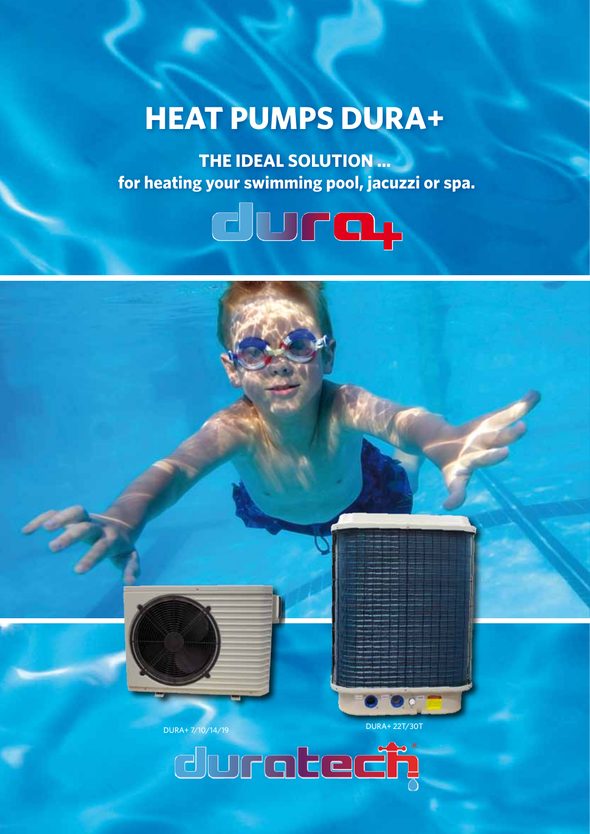# **HEAT PUMPS DURA+**

**THE IDEAL SOLUTION … for heating your swimming pool, jacuzzi or spa.**



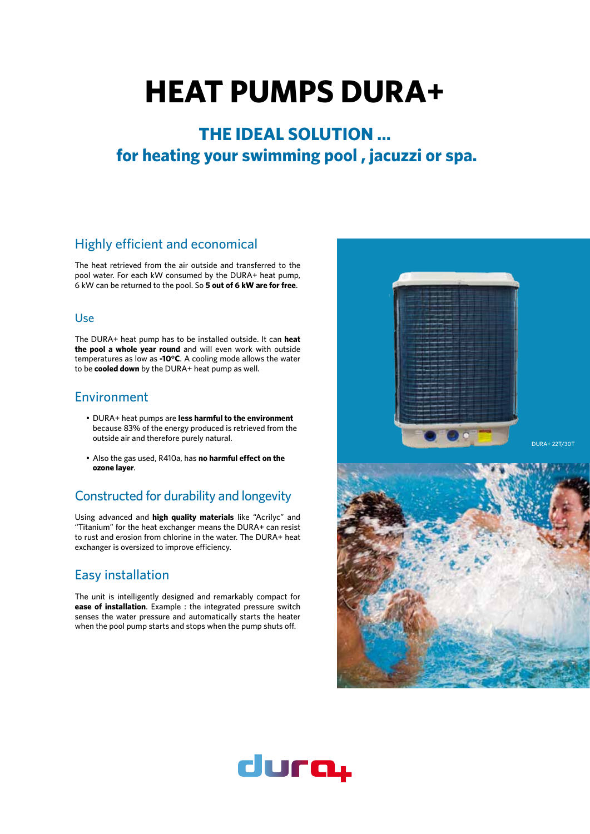# **HEAT PUMPS DURA+**

# **THE IDEAL SOLUTION … for heating your swimming pool , jacuzzi or spa.**

## Highly efficient and economical

The heat retrieved from the air outside and transferred to the pool water. For each kW consumed by the DURA+ heat pump, 6 kW can be returned to the pool. So **5 out of 6 kW are for free**.

#### Use

The DURA+ heat pump has to be installed outside. It can **heat the pool a whole year round** and will even work with outside temperatures as low as **-10°C**. A cooling mode allows the water to be **cooled down** by the DURA+ heat pump as well.

## Environment

- • DURA+ heat pumps are **less harmful to the environment** because 83% of the energy produced is retrieved from the outside air and therefore purely natural.
- • Also the gas used, R410a, has **no harmful effect on the ozone layer**.

# Constructed for durability and longevity

Using advanced and **high quality materials** like "Acrilyc" and "Titanium" for the heat exchanger means the DURA+ can resist to rust and erosion from chlorine in the water. The DURA+ heat exchanger is oversized to improve efficiency.

# Easy installation

The unit is intelligently designed and remarkably compact for **ease of installation**. Example : the integrated pressure switch senses the water pressure and automatically starts the heater when the pool pump starts and stops when the pump shuts off.